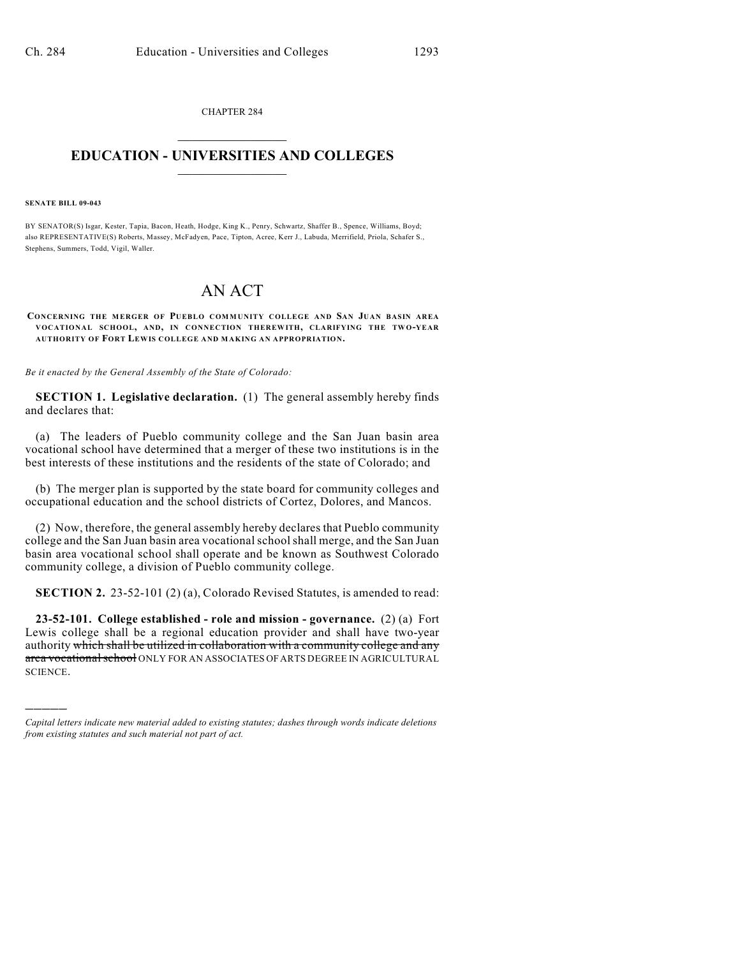CHAPTER 284  $\overline{\phantom{a}}$  . The set of the set of the set of the set of the set of the set of the set of the set of the set of the set of the set of the set of the set of the set of the set of the set of the set of the set of the set o

## **EDUCATION - UNIVERSITIES AND COLLEGES**  $\_$

## **SENATE BILL 09-043**

)))))

BY SENATOR(S) Isgar, Kester, Tapia, Bacon, Heath, Hodge, King K., Penry, Schwartz, Shaffer B., Spence, Williams, Boyd; also REPRESENTATIVE(S) Roberts, Massey, McFadyen, Pace, Tipton, Acree, Kerr J., Labuda, Merrifield, Priola, Schafer S., Stephens, Summers, Todd, Vigil, Waller.

## AN ACT

## **CONCERNING THE MERGER OF PUEBLO COMMUNITY COLLEGE AND SAN JUAN BASIN AREA VOCATIONAL SCHOOL, AND, IN CONNECTION THEREWITH, CLARIFYING THE TW O-YEAR AUTHORITY OF FORT LEWIS COLLEGE AND MAKING AN APPROPRIATION.**

*Be it enacted by the General Assembly of the State of Colorado:*

**SECTION 1. Legislative declaration.** (1) The general assembly hereby finds and declares that:

(a) The leaders of Pueblo community college and the San Juan basin area vocational school have determined that a merger of these two institutions is in the best interests of these institutions and the residents of the state of Colorado; and

(b) The merger plan is supported by the state board for community colleges and occupational education and the school districts of Cortez, Dolores, and Mancos.

(2) Now, therefore, the general assembly hereby declares that Pueblo community college and the San Juan basin area vocational school shall merge, and the San Juan basin area vocational school shall operate and be known as Southwest Colorado community college, a division of Pueblo community college.

**SECTION 2.** 23-52-101 (2) (a), Colorado Revised Statutes, is amended to read:

**23-52-101. College established - role and mission - governance.** (2) (a) Fort Lewis college shall be a regional education provider and shall have two-year authority which shall be utilized in collaboration with a community college and any area vocational school ONLY FOR AN ASSOCIATES OF ARTS DEGREE IN AGRICULTURAL SCIENCE.

*Capital letters indicate new material added to existing statutes; dashes through words indicate deletions from existing statutes and such material not part of act.*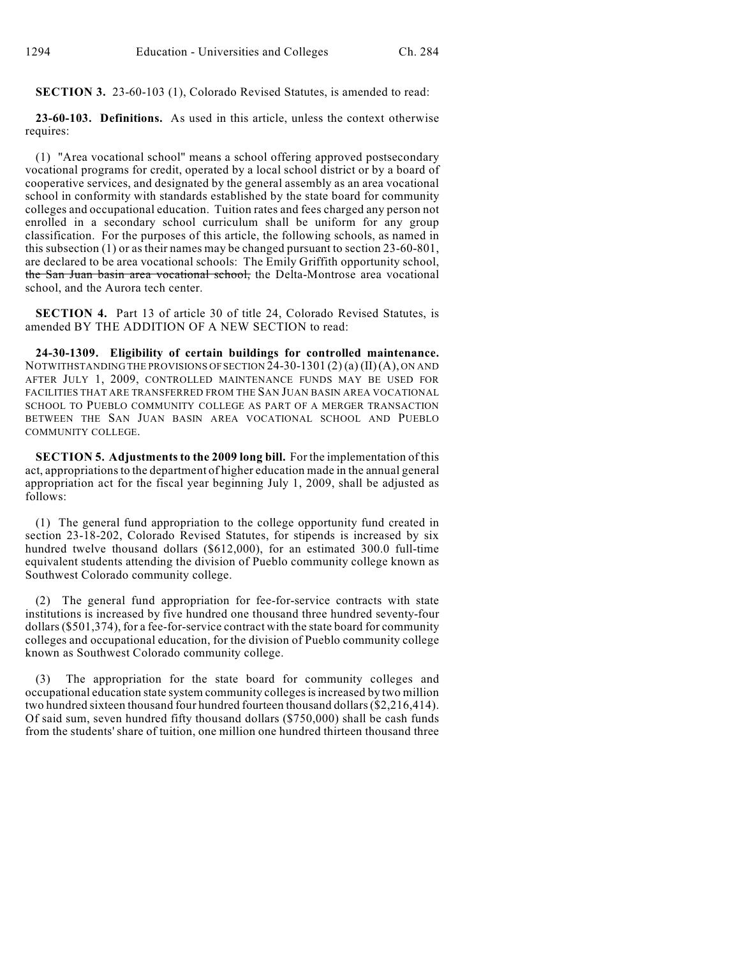**SECTION 3.** 23-60-103 (1), Colorado Revised Statutes, is amended to read:

**23-60-103. Definitions.** As used in this article, unless the context otherwise requires:

(1) "Area vocational school" means a school offering approved postsecondary vocational programs for credit, operated by a local school district or by a board of cooperative services, and designated by the general assembly as an area vocational school in conformity with standards established by the state board for community colleges and occupational education. Tuition rates and fees charged any person not enrolled in a secondary school curriculum shall be uniform for any group classification. For the purposes of this article, the following schools, as named in this subsection (1) or astheir names may be changed pursuant to section 23-60-801, are declared to be area vocational schools: The Emily Griffith opportunity school, the San Juan basin area vocational school, the Delta-Montrose area vocational school, and the Aurora tech center.

**SECTION 4.** Part 13 of article 30 of title 24, Colorado Revised Statutes, is amended BY THE ADDITION OF A NEW SECTION to read:

**24-30-1309. Eligibility of certain buildings for controlled maintenance.** NOTWITHSTANDING THE PROVISIONS OF SECTION 24-30-1301 (2) (a) (II)(A), ON AND AFTER JULY 1, 2009, CONTROLLED MAINTENANCE FUNDS MAY BE USED FOR FACILITIES THAT ARE TRANSFERRED FROM THE SAN JUAN BASIN AREA VOCATIONAL SCHOOL TO PUEBLO COMMUNITY COLLEGE AS PART OF A MERGER TRANSACTION BETWEEN THE SAN JUAN BASIN AREA VOCATIONAL SCHOOL AND PUEBLO COMMUNITY COLLEGE.

**SECTION 5. Adjustments to the 2009 long bill.** For the implementation of this act, appropriations to the department of higher education made in the annual general appropriation act for the fiscal year beginning July 1, 2009, shall be adjusted as follows:

(1) The general fund appropriation to the college opportunity fund created in section 23-18-202, Colorado Revised Statutes, for stipends is increased by six hundred twelve thousand dollars (\$612,000), for an estimated 300.0 full-time equivalent students attending the division of Pueblo community college known as Southwest Colorado community college.

(2) The general fund appropriation for fee-for-service contracts with state institutions is increased by five hundred one thousand three hundred seventy-four dollars (\$501,374), for a fee-for-service contract with the state board for community colleges and occupational education, for the division of Pueblo community college known as Southwest Colorado community college.

The appropriation for the state board for community colleges and occupational education state system community colleges is increased by two million two hundred sixteen thousand four hundred fourteen thousand dollars (\$2,216,414). Of said sum, seven hundred fifty thousand dollars (\$750,000) shall be cash funds from the students' share of tuition, one million one hundred thirteen thousand three